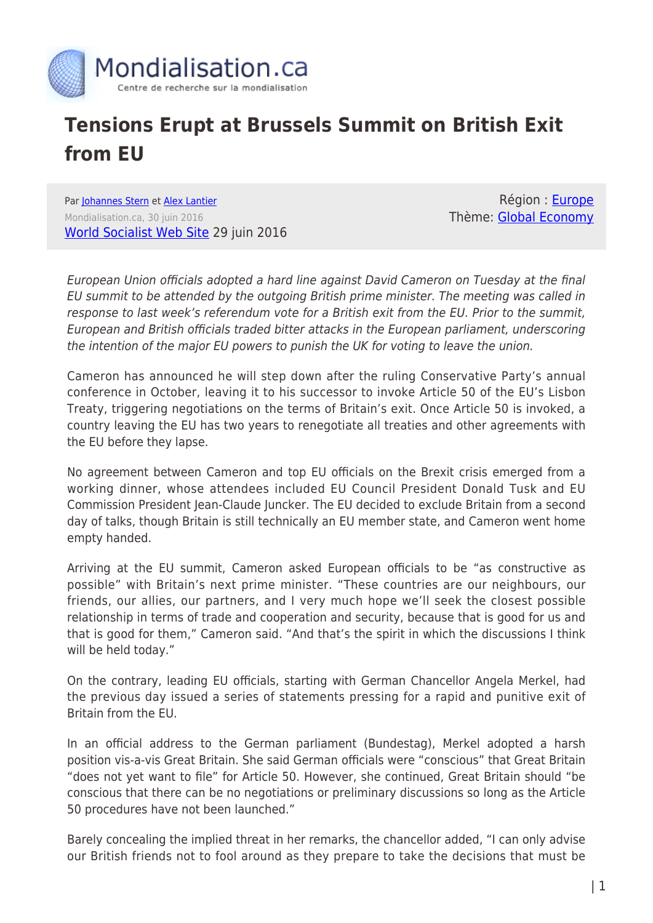

## **Tensions Erupt at Brussels Summit on British Exit from EU**

Par [Johannes Stern](https://www.mondialisation.ca/author/johannes-stern) et [Alex Lantier](https://www.mondialisation.ca/author/alex-lantier) Mondialisation.ca, 30 juin 2016 [World Socialist Web Site](http://www.wsws.org/en/articles/2016/06/29/euro-j29.html) 29 juin 2016

Région : [Europe](https://www.mondialisation.ca/region/europe) Thème: [Global Economy](https://www.mondialisation.ca/theme/global-economy)

European Union officials adopted a hard line against David Cameron on Tuesday at the final EU summit to be attended by the outgoing British prime minister. The meeting was called in response to last week's referendum vote for a British exit from the EU. Prior to the summit, European and British officials traded bitter attacks in the European parliament, underscoring the intention of the major EU powers to punish the UK for voting to leave the union.

Cameron has announced he will step down after the ruling Conservative Party's annual conference in October, leaving it to his successor to invoke Article 50 of the EU's Lisbon Treaty, triggering negotiations on the terms of Britain's exit. Once Article 50 is invoked, a country leaving the EU has two years to renegotiate all treaties and other agreements with the EU before they lapse.

No agreement between Cameron and top EU officials on the Brexit crisis emerged from a working dinner, whose attendees included EU Council President Donald Tusk and EU Commission President Jean-Claude Juncker. The EU decided to exclude Britain from a second day of talks, though Britain is still technically an EU member state, and Cameron went home empty handed.

Arriving at the EU summit, Cameron asked European officials to be "as constructive as possible" with Britain's next prime minister. "These countries are our neighbours, our friends, our allies, our partners, and I very much hope we'll seek the closest possible relationship in terms of trade and cooperation and security, because that is good for us and that is good for them," Cameron said. "And that's the spirit in which the discussions I think will be held today."

On the contrary, leading EU officials, starting with German Chancellor Angela Merkel, had the previous day issued a series of statements pressing for a rapid and punitive exit of Britain from the EU.

In an official address to the German parliament (Bundestag), Merkel adopted a harsh position vis-a-vis Great Britain. She said German officials were "conscious" that Great Britain "does not yet want to file" for Article 50. However, she continued, Great Britain should "be conscious that there can be no negotiations or preliminary discussions so long as the Article 50 procedures have not been launched."

Barely concealing the implied threat in her remarks, the chancellor added, "I can only advise our British friends not to fool around as they prepare to take the decisions that must be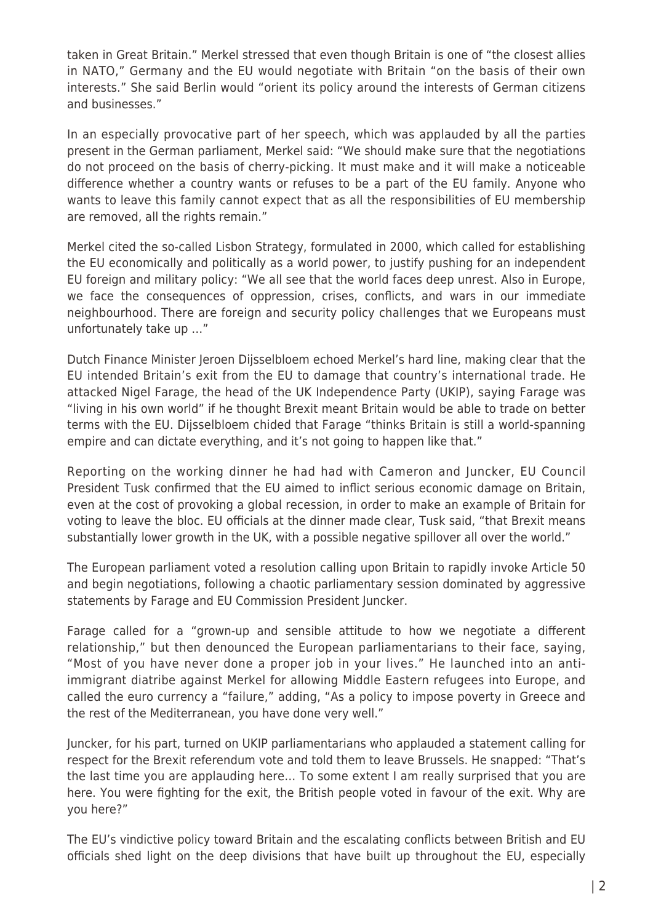taken in Great Britain." Merkel stressed that even though Britain is one of "the closest allies in NATO," Germany and the EU would negotiate with Britain "on the basis of their own interests." She said Berlin would "orient its policy around the interests of German citizens and businesses."

In an especially provocative part of her speech, which was applauded by all the parties present in the German parliament, Merkel said: "We should make sure that the negotiations do not proceed on the basis of cherry-picking. It must make and it will make a noticeable difference whether a country wants or refuses to be a part of the EU family. Anyone who wants to leave this family cannot expect that as all the responsibilities of EU membership are removed, all the rights remain."

Merkel cited the so-called Lisbon Strategy, formulated in 2000, which called for establishing the EU economically and politically as a world power, to justify pushing for an independent EU foreign and military policy: "We all see that the world faces deep unrest. Also in Europe, we face the consequences of oppression, crises, conflicts, and wars in our immediate neighbourhood. There are foreign and security policy challenges that we Europeans must unfortunately take up …"

Dutch Finance Minister Jeroen Dijsselbloem echoed Merkel's hard line, making clear that the EU intended Britain's exit from the EU to damage that country's international trade. He attacked Nigel Farage, the head of the UK Independence Party (UKIP), saying Farage was "living in his own world" if he thought Brexit meant Britain would be able to trade on better terms with the EU. Dijsselbloem chided that Farage "thinks Britain is still a world-spanning empire and can dictate everything, and it's not going to happen like that."

Reporting on the working dinner he had had with Cameron and Juncker, EU Council President Tusk confirmed that the EU aimed to inflict serious economic damage on Britain, even at the cost of provoking a global recession, in order to make an example of Britain for voting to leave the bloc. EU officials at the dinner made clear, Tusk said, "that Brexit means substantially lower growth in the UK, with a possible negative spillover all over the world."

The European parliament voted a resolution calling upon Britain to rapidly invoke Article 50 and begin negotiations, following a chaotic parliamentary session dominated by aggressive statements by Farage and EU Commission President Juncker.

Farage called for a "grown-up and sensible attitude to how we negotiate a different relationship," but then denounced the European parliamentarians to their face, saying, "Most of you have never done a proper job in your lives." He launched into an antiimmigrant diatribe against Merkel for allowing Middle Eastern refugees into Europe, and called the euro currency a "failure," adding, "As a policy to impose poverty in Greece and the rest of the Mediterranean, you have done very well."

Juncker, for his part, turned on UKIP parliamentarians who applauded a statement calling for respect for the Brexit referendum vote and told them to leave Brussels. He snapped: "That's the last time you are applauding here… To some extent I am really surprised that you are here. You were fighting for the exit, the British people voted in favour of the exit. Why are you here?"

The EU's vindictive policy toward Britain and the escalating conflicts between British and EU officials shed light on the deep divisions that have built up throughout the EU, especially